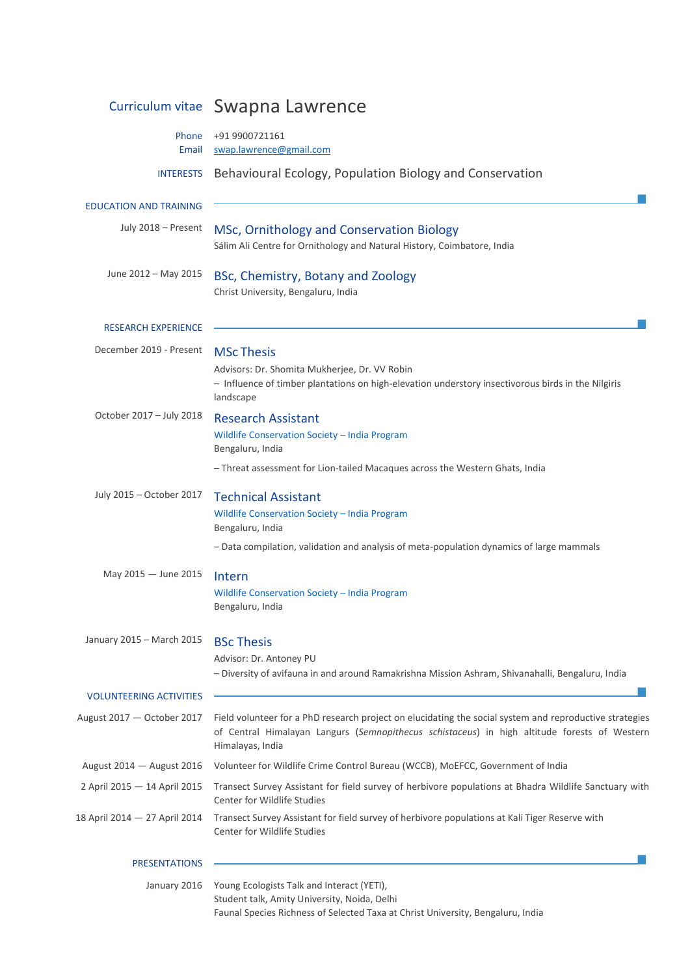|                                | Curriculum vitae Swapna Lawrence                                                                                                                                                                                            |
|--------------------------------|-----------------------------------------------------------------------------------------------------------------------------------------------------------------------------------------------------------------------------|
| Phone<br>Email                 | +91 9900721161<br>swap.lawrence@gmail.com                                                                                                                                                                                   |
| <b>INTERESTS</b>               | Behavioural Ecology, Population Biology and Conservation                                                                                                                                                                    |
| <b>EDUCATION AND TRAINING</b>  |                                                                                                                                                                                                                             |
| July 2018 - Present            | MSc, Ornithology and Conservation Biology<br>Sálim Ali Centre for Ornithology and Natural History, Coimbatore, India                                                                                                        |
| June 2012 - May 2015           | BSc, Chemistry, Botany and Zoology<br>Christ University, Bengaluru, India                                                                                                                                                   |
| <b>RESEARCH EXPERIENCE</b>     |                                                                                                                                                                                                                             |
| December 2019 - Present        | <b>MSc Thesis</b>                                                                                                                                                                                                           |
|                                | Advisors: Dr. Shomita Mukherjee, Dr. VV Robin<br>- Influence of timber plantations on high-elevation understory insectivorous birds in the Nilgiris<br>landscape                                                            |
| October 2017 - July 2018       | <b>Research Assistant</b>                                                                                                                                                                                                   |
|                                | Wildlife Conservation Society - India Program<br>Bengaluru, India                                                                                                                                                           |
|                                | - Threat assessment for Lion-tailed Macaques across the Western Ghats, India                                                                                                                                                |
| July 2015 - October 2017       | <b>Technical Assistant</b>                                                                                                                                                                                                  |
|                                | Wildlife Conservation Society - India Program<br>Bengaluru, India                                                                                                                                                           |
|                                | - Data compilation, validation and analysis of meta-population dynamics of large mammals                                                                                                                                    |
| May 2015 - June 2015           | Intern                                                                                                                                                                                                                      |
|                                | Wildlife Conservation Society - India Program<br>Bengaluru, India                                                                                                                                                           |
| January 2015 - March 2015      | <b>BSc Thesis</b>                                                                                                                                                                                                           |
|                                | Advisor: Dr. Antoney PU                                                                                                                                                                                                     |
|                                | - Diversity of avifauna in and around Ramakrishna Mission Ashram, Shivanahalli, Bengaluru, India                                                                                                                            |
| <b>VOLUNTEERING ACTIVITIES</b> |                                                                                                                                                                                                                             |
| August 2017 - October 2017     | Field volunteer for a PhD research project on elucidating the social system and reproductive strategies<br>of Central Himalayan Langurs (Semnopithecus schistaceus) in high altitude forests of Western<br>Himalayas, India |
| August 2014 - August 2016      | Volunteer for Wildlife Crime Control Bureau (WCCB), MoEFCC, Government of India                                                                                                                                             |
| 2 April 2015 - 14 April 2015   | Transect Survey Assistant for field survey of herbivore populations at Bhadra Wildlife Sanctuary with<br><b>Center for Wildlife Studies</b>                                                                                 |
| 18 April 2014 - 27 April 2014  | Transect Survey Assistant for field survey of herbivore populations at Kali Tiger Reserve with<br><b>Center for Wildlife Studies</b>                                                                                        |
| <b>PRESENTATIONS</b>           |                                                                                                                                                                                                                             |

 January 2016 Young Ecologists Talk and Interact (YETI), Student talk, Amity University, Noida, Delhi Faunal Species Richness of Selected Taxa at Christ University, Bengaluru, India